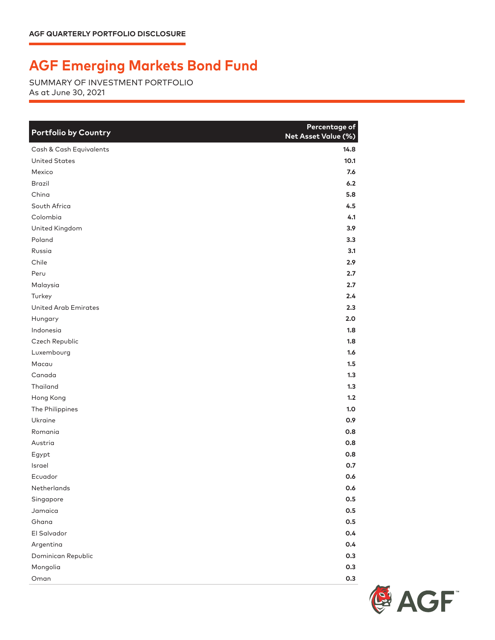## **AGF Emerging Markets Bond Fund**

SUMMARY OF INVESTMENT PORTFOLIO As at June 30, 2021

| <b>Portfolio by Country</b> | Percentage of<br>Net Asset Value (%) |
|-----------------------------|--------------------------------------|
| Cash & Cash Equivalents     | 14.8                                 |
| <b>United States</b>        | 10.1                                 |
| Mexico                      | 7.6                                  |
| <b>Brazil</b>               | 6.2                                  |
| China                       | 5.8                                  |
| South Africa                | 4.5                                  |
| Colombia                    | 4.1                                  |
| United Kingdom              | 3.9                                  |
| Poland                      | 3.3                                  |
| Russia                      | 3.1                                  |
| Chile                       | 2.9                                  |
| Peru                        | 2.7                                  |
| Malaysia                    | 2.7                                  |
| Turkey                      | 2.4                                  |
| <b>United Arab Emirates</b> | 2.3                                  |
| Hungary                     | 2.0                                  |
| Indonesia                   | 1.8                                  |
| Czech Republic              | 1.8                                  |
| Luxembourg                  | 1.6                                  |
| Macau                       | 1.5                                  |
| Canada                      | 1.3                                  |
| Thailand                    | 1.3                                  |
| Hong Kong                   | 1.2                                  |
| The Philippines             | 1.0                                  |
| Ukraine                     | 0.9                                  |
| Romania                     | 0.8                                  |
| Austria                     | 0.8                                  |
| Egypt                       | 0.8                                  |
| Israel                      | 0.7                                  |
| Ecuador                     | 0.6                                  |
| Netherlands                 | 0.6                                  |
| Singapore                   | 0.5                                  |
| Jamaica                     | 0.5                                  |
| Ghana                       | 0.5                                  |
| El Salvador                 | 0.4                                  |
| Argentina                   | 0.4                                  |
| Dominican Republic          | 0.3                                  |
| Mongolia                    | 0.3                                  |
| Oman                        | 0.3                                  |

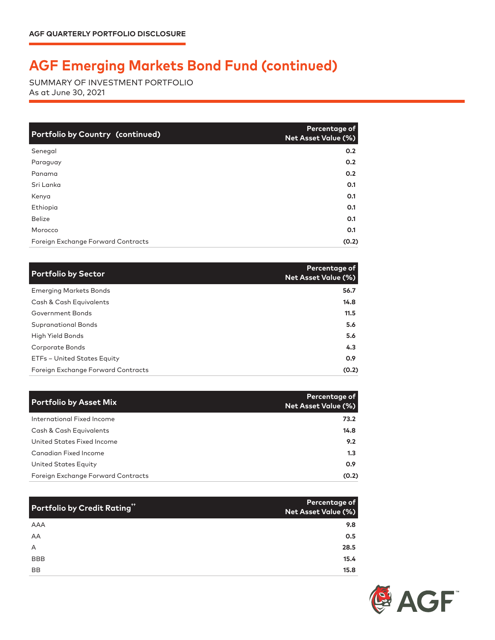## **AGF Emerging Markets Bond Fund (continued)**

SUMMARY OF INVESTMENT PORTFOLIO As at June 30, 2021

| <b>Portfolio by Country (continued)</b> | Percentage of<br>Net Asset Value (%) |
|-----------------------------------------|--------------------------------------|
| Senegal                                 | 0.2                                  |
| Paraguay                                | 0.2                                  |
| Panama                                  | 0.2                                  |
| Sri Lanka                               | O.1                                  |
| Kenya                                   | 0.1                                  |
| Ethiopia                                | 0.1                                  |
| <b>Belize</b>                           | 0.1                                  |
| Morocco                                 | 0.1                                  |
| Foreign Exchange Forward Contracts      | (0.2)                                |

| <b>Portfolio by Sector</b>         | Percentage of<br>Net Asset Value (%) |
|------------------------------------|--------------------------------------|
| <b>Emerging Markets Bonds</b>      | 56.7                                 |
| Cash & Cash Equivalents            | 14.8                                 |
| Government Bonds                   | 11.5                                 |
| <b>Supranational Bonds</b>         | 5.6                                  |
| High Yield Bonds                   | 5.6                                  |
| Corporate Bonds                    | 4.3                                  |
| ETFs - United States Equity        | 0.9                                  |
| Foreign Exchange Forward Contracts | (0.2)                                |

| <b>Portfolio by Asset Mix</b>      | Percentage of<br><b>Net Asset Value (%)</b> |
|------------------------------------|---------------------------------------------|
| International Fixed Income         | 73.2                                        |
| Cash & Cash Equivalents            | 14.8                                        |
| United States Fixed Income         | 9.2                                         |
| <b>Canadian Fixed Income</b>       | 1.3                                         |
| United States Equity               | 0.9                                         |
| Foreign Exchange Forward Contracts | (0.2)                                       |

| Portfolio by Credit Rating" | Percentage of<br>Net Asset Value (%) |
|-----------------------------|--------------------------------------|
| AAA                         | 9.8                                  |
| AA                          | 0.5                                  |
| A                           | 28.5                                 |
| <b>BBB</b>                  | 15.4                                 |
| <b>BB</b>                   | 15.8                                 |